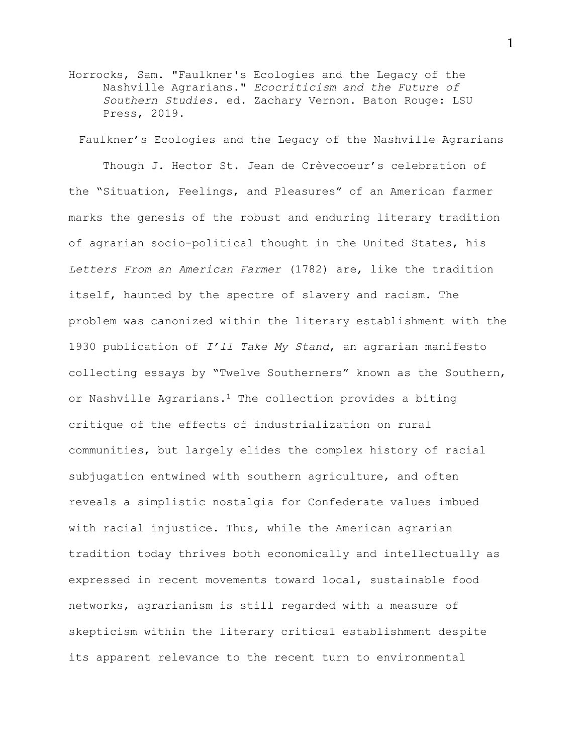Horrocks, Sam. "Faulkner's Ecologies and the Legacy of the Nashville Agrarians." *Ecocriticism and the Future of Southern Studies.* ed. Zachary Vernon. Baton Rouge: LSU Press, 2019.

Faulkner's Ecologies and the Legacy of the Nashville Agrarians

Though J. Hector St. Jean de Crèvecoeur's celebration of the "Situation, Feelings, and Pleasures" of an American farmer marks the genesis of the robust and enduring literary tradition of agrarian socio-political thought in the United States, his *Letters From an American Farmer* (1782) are, like the tradition itself, haunted by the spectre of slavery and racism. The problem was canonized within the literary establishment with the 1930 publication of *I'll Take My Stand*, an agrarian manifesto collecting essays by "Twelve Southerners" known as the Southern, or Nashville Agrarians.<sup>1</sup> The collection provides a biting critique of the effects of industrialization on rural communities, but largely elides the complex history of racial subjugation entwined with southern agriculture, and often reveals a simplistic nostalgia for Confederate values imbued with racial injustice. Thus, while the American agrarian tradition today thrives both economically and intellectually as expressed in recent movements toward local, sustainable food networks, agrarianism is still regarded with a measure of skepticism within the literary critical establishment despite its apparent relevance to the recent turn to environmental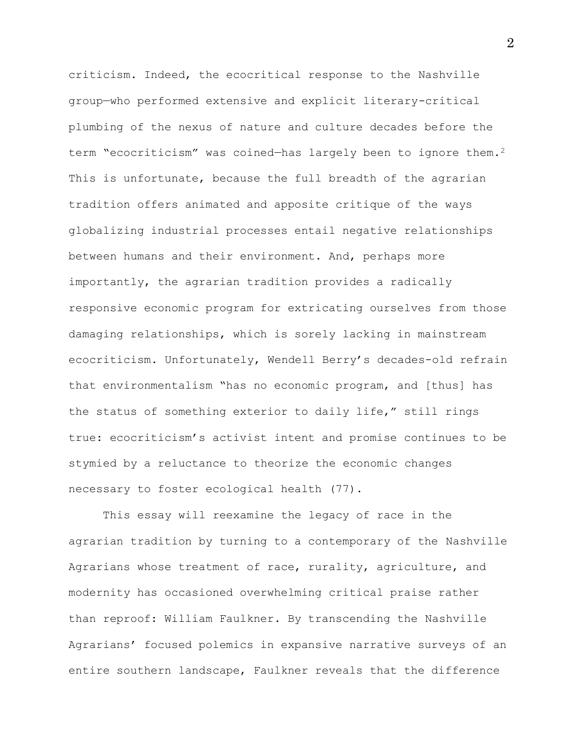criticism. Indeed, the ecocritical response to the Nashville group—who performed extensive and explicit literary-critical plumbing of the nexus of nature and culture decades before the term "ecocriticism" was coined-has largely been to ignore them.<sup>2</sup> This is unfortunate, because the full breadth of the agrarian tradition offers animated and apposite critique of the ways globalizing industrial processes entail negative relationships between humans and their environment. And, perhaps more importantly, the agrarian tradition provides a radically responsive economic program for extricating ourselves from those damaging relationships, which is sorely lacking in mainstream ecocriticism. Unfortunately, Wendell Berry's decades-old refrain that environmentalism "has no economic program, and [thus] has the status of something exterior to daily life," still rings true: ecocriticism's activist intent and promise continues to be stymied by a reluctance to theorize the economic changes necessary to foster ecological health (77).

This essay will reexamine the legacy of race in the agrarian tradition by turning to a contemporary of the Nashville Agrarians whose treatment of race, rurality, agriculture, and modernity has occasioned overwhelming critical praise rather than reproof: William Faulkner. By transcending the Nashville Agrarians' focused polemics in expansive narrative surveys of an entire southern landscape, Faulkner reveals that the difference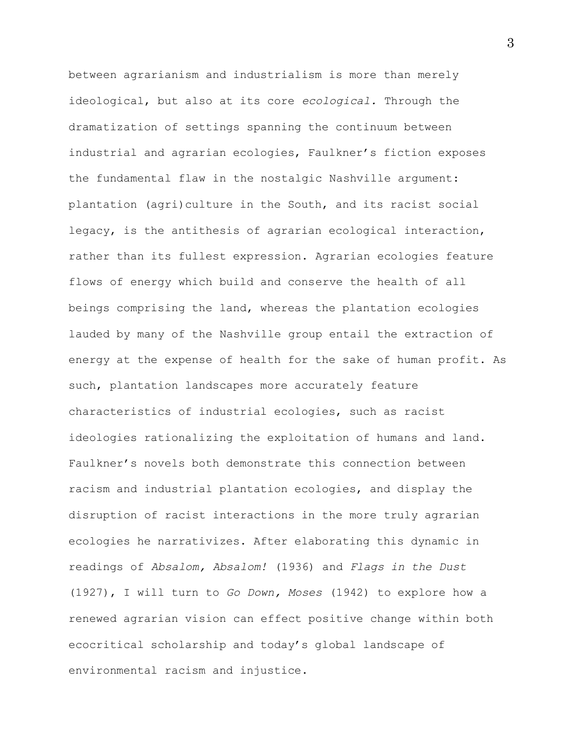between agrarianism and industrialism is more than merely ideological, but also at its core *ecological.* Through the dramatization of settings spanning the continuum between industrial and agrarian ecologies, Faulkner's fiction exposes the fundamental flaw in the nostalgic Nashville argument: plantation (agri)culture in the South, and its racist social legacy, is the antithesis of agrarian ecological interaction, rather than its fullest expression. Agrarian ecologies feature flows of energy which build and conserve the health of all beings comprising the land, whereas the plantation ecologies lauded by many of the Nashville group entail the extraction of energy at the expense of health for the sake of human profit. As such, plantation landscapes more accurately feature characteristics of industrial ecologies, such as racist ideologies rationalizing the exploitation of humans and land. Faulkner's novels both demonstrate this connection between racism and industrial plantation ecologies, and display the disruption of racist interactions in the more truly agrarian ecologies he narrativizes. After elaborating this dynamic in readings of *Absalom, Absalom!* (1936) and *Flags in the Dust*  (1927), I will turn to *Go Down, Moses* (1942) to explore how a renewed agrarian vision can effect positive change within both ecocritical scholarship and today's global landscape of environmental racism and injustice.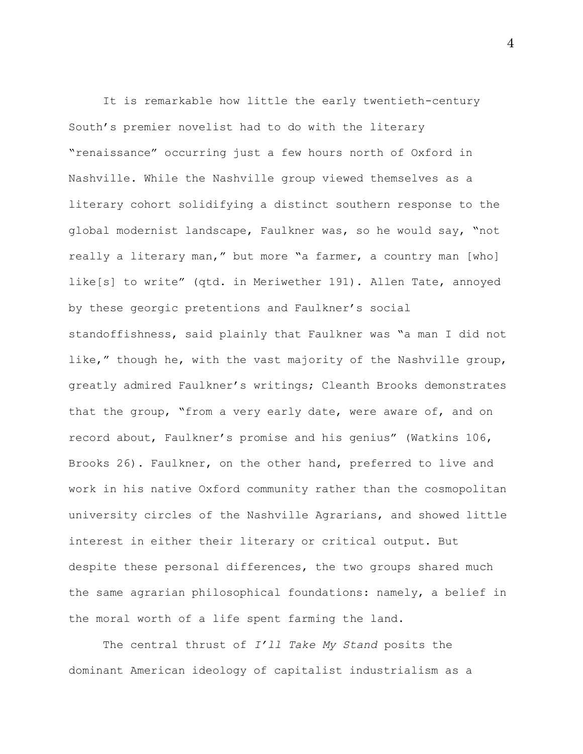It is remarkable how little the early twentieth-century South's premier novelist had to do with the literary "renaissance" occurring just a few hours north of Oxford in Nashville. While the Nashville group viewed themselves as a literary cohort solidifying a distinct southern response to the global modernist landscape, Faulkner was, so he would say, "not really a literary man," but more "a farmer, a country man [who] like[s] to write" (qtd. in Meriwether 191). Allen Tate, annoyed by these georgic pretentions and Faulkner's social standoffishness, said plainly that Faulkner was "a man I did not like," though he, with the vast majority of the Nashville group, greatly admired Faulkner's writings; Cleanth Brooks demonstrates that the group, "from a very early date, were aware of, and on record about, Faulkner's promise and his genius" (Watkins 106, Brooks 26). Faulkner, on the other hand, preferred to live and work in his native Oxford community rather than the cosmopolitan university circles of the Nashville Agrarians, and showed little interest in either their literary or critical output. But despite these personal differences, the two groups shared much the same agrarian philosophical foundations: namely, a belief in the moral worth of a life spent farming the land.

The central thrust of *I'll Take My Stand* posits the dominant American ideology of capitalist industrialism as a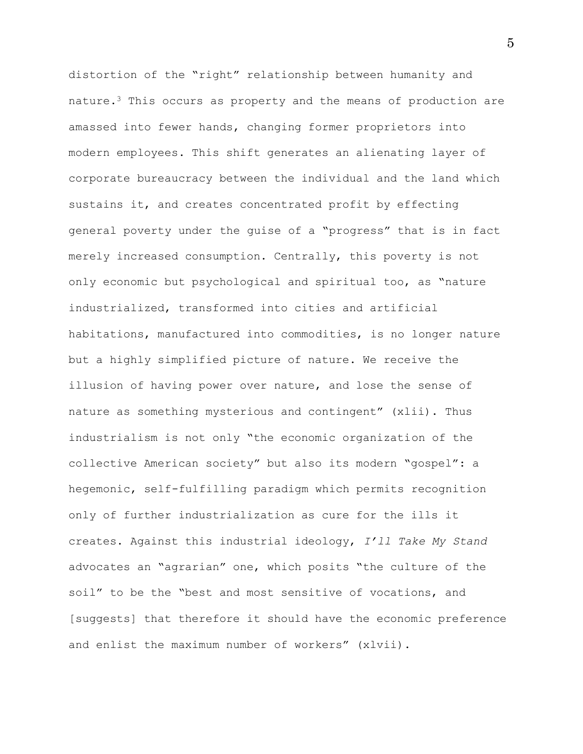distortion of the "right" relationship between humanity and nature.<sup>3</sup> This occurs as property and the means of production are amassed into fewer hands, changing former proprietors into modern employees. This shift generates an alienating layer of corporate bureaucracy between the individual and the land which sustains it, and creates concentrated profit by effecting general poverty under the guise of a "progress" that is in fact merely increased consumption. Centrally, this poverty is not only economic but psychological and spiritual too, as "nature industrialized, transformed into cities and artificial habitations, manufactured into commodities, is no longer nature but a highly simplified picture of nature. We receive the illusion of having power over nature, and lose the sense of nature as something mysterious and contingent" (xlii). Thus industrialism is not only "the economic organization of the collective American society" but also its modern "gospel": a hegemonic, self-fulfilling paradigm which permits recognition only of further industrialization as cure for the ills it creates. Against this industrial ideology, *I'll Take My Stand* advocates an "agrarian" one, which posits "the culture of the soil" to be the "best and most sensitive of vocations, and [suggests] that therefore it should have the economic preference and enlist the maximum number of workers" (xlvii).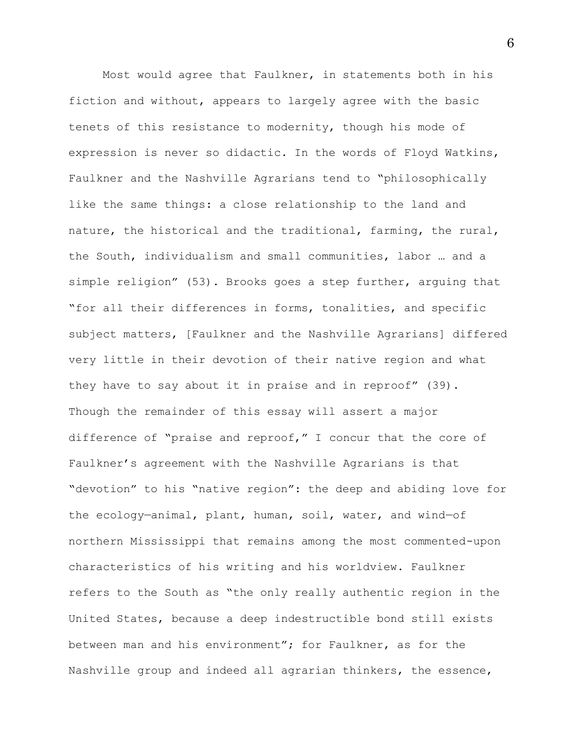Most would agree that Faulkner, in statements both in his fiction and without, appears to largely agree with the basic tenets of this resistance to modernity, though his mode of expression is never so didactic. In the words of Floyd Watkins, Faulkner and the Nashville Agrarians tend to "philosophically like the same things: a close relationship to the land and nature, the historical and the traditional, farming, the rural, the South, individualism and small communities, labor … and a simple religion" (53). Brooks goes a step further, arguing that "for all their differences in forms, tonalities, and specific subject matters, [Faulkner and the Nashville Agrarians] differed very little in their devotion of their native region and what they have to say about it in praise and in reproof" (39). Though the remainder of this essay will assert a major difference of "praise and reproof," I concur that the core of Faulkner's agreement with the Nashville Agrarians is that "devotion" to his "native region": the deep and abiding love for the ecology—animal, plant, human, soil, water, and wind—of northern Mississippi that remains among the most commented-upon characteristics of his writing and his worldview. Faulkner refers to the South as "the only really authentic region in the United States, because a deep indestructible bond still exists between man and his environment"; for Faulkner, as for the Nashville group and indeed all agrarian thinkers, the essence,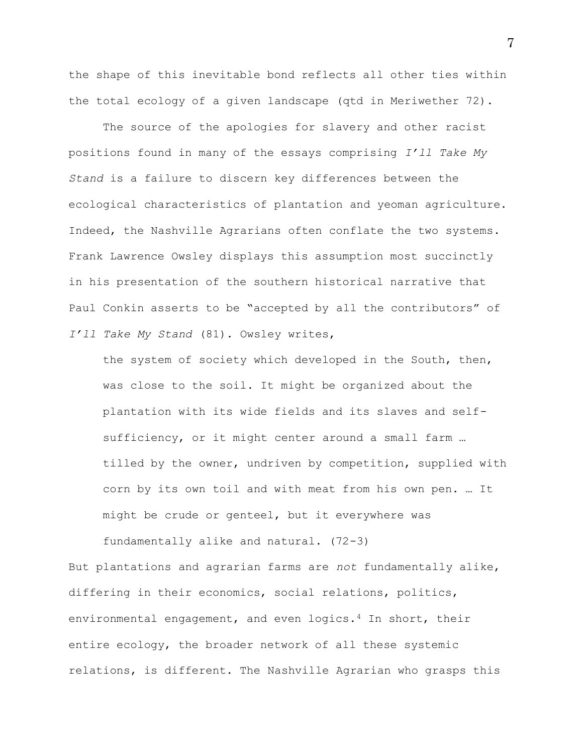the shape of this inevitable bond reflects all other ties within the total ecology of a given landscape (qtd in Meriwether 72).

The source of the apologies for slavery and other racist positions found in many of the essays comprising *I'll Take My Stand* is a failure to discern key differences between the ecological characteristics of plantation and yeoman agriculture. Indeed, the Nashville Agrarians often conflate the two systems. Frank Lawrence Owsley displays this assumption most succinctly in his presentation of the southern historical narrative that Paul Conkin asserts to be "accepted by all the contributors" of *I'll Take My Stand* (81). Owsley writes,

the system of society which developed in the South, then, was close to the soil. It might be organized about the plantation with its wide fields and its slaves and selfsufficiency, or it might center around a small farm … tilled by the owner, undriven by competition, supplied with corn by its own toil and with meat from his own pen. … It might be crude or genteel, but it everywhere was

fundamentally alike and natural. (72-3)

But plantations and agrarian farms are *not* fundamentally alike, differing in their economics, social relations, politics, environmental engagement, and even logics.<sup>4</sup> In short, their entire ecology, the broader network of all these systemic relations, is different. The Nashville Agrarian who grasps this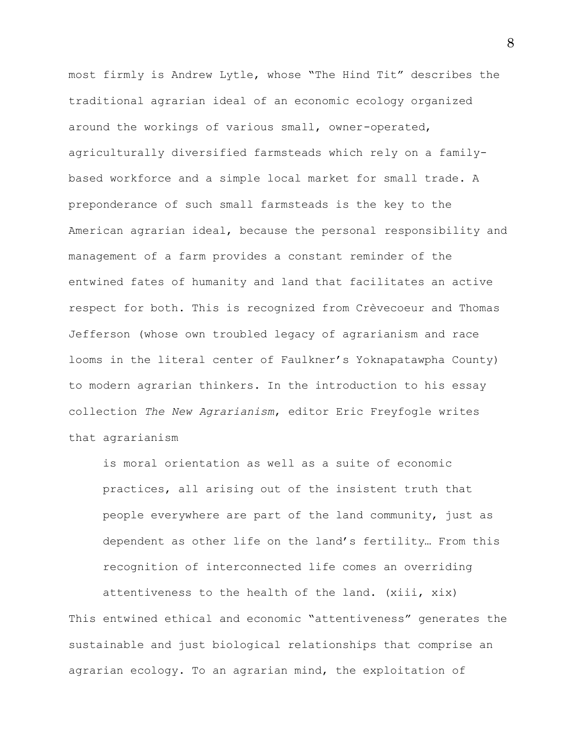most firmly is Andrew Lytle, whose "The Hind Tit" describes the traditional agrarian ideal of an economic ecology organized around the workings of various small, owner-operated, agriculturally diversified farmsteads which rely on a familybased workforce and a simple local market for small trade. A preponderance of such small farmsteads is the key to the American agrarian ideal, because the personal responsibility and management of a farm provides a constant reminder of the entwined fates of humanity and land that facilitates an active respect for both. This is recognized from Crèvecoeur and Thomas Jefferson (whose own troubled legacy of agrarianism and race looms in the literal center of Faulkner's Yoknapatawpha County) to modern agrarian thinkers. In the introduction to his essay collection *The New Agrarianism*, editor Eric Freyfogle writes that agrarianism

is moral orientation as well as a suite of economic practices, all arising out of the insistent truth that people everywhere are part of the land community, just as dependent as other life on the land's fertility… From this recognition of interconnected life comes an overriding attentiveness to the health of the land. (xiii, xix)

This entwined ethical and economic "attentiveness" generates the sustainable and just biological relationships that comprise an agrarian ecology. To an agrarian mind, the exploitation of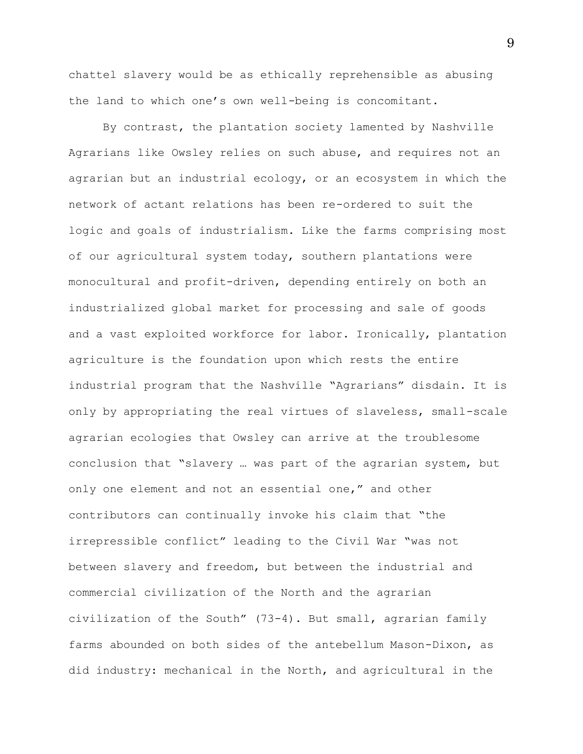chattel slavery would be as ethically reprehensible as abusing the land to which one's own well-being is concomitant.

By contrast, the plantation society lamented by Nashville Agrarians like Owsley relies on such abuse, and requires not an agrarian but an industrial ecology, or an ecosystem in which the network of actant relations has been re-ordered to suit the logic and goals of industrialism. Like the farms comprising most of our agricultural system today, southern plantations were monocultural and profit-driven, depending entirely on both an industrialized global market for processing and sale of goods and a vast exploited workforce for labor. Ironically, plantation agriculture is the foundation upon which rests the entire industrial program that the Nashville "Agrarians" disdain. It is only by appropriating the real virtues of slaveless, small-scale agrarian ecologies that Owsley can arrive at the troublesome conclusion that "slavery … was part of the agrarian system, but only one element and not an essential one," and other contributors can continually invoke his claim that "the irrepressible conflict" leading to the Civil War "was not between slavery and freedom, but between the industrial and commercial civilization of the North and the agrarian civilization of the South" (73-4). But small, agrarian family farms abounded on both sides of the antebellum Mason-Dixon, as did industry: mechanical in the North, and agricultural in the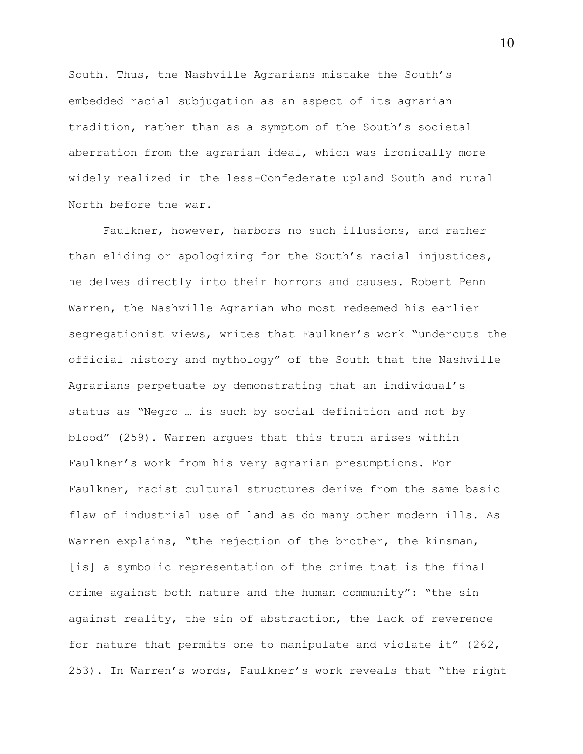South. Thus, the Nashville Agrarians mistake the South's embedded racial subjugation as an aspect of its agrarian tradition, rather than as a symptom of the South's societal aberration from the agrarian ideal, which was ironically more widely realized in the less-Confederate upland South and rural North before the war.

Faulkner, however, harbors no such illusions, and rather than eliding or apologizing for the South's racial injustices, he delves directly into their horrors and causes. Robert Penn Warren, the Nashville Agrarian who most redeemed his earlier segregationist views, writes that Faulkner's work "undercuts the official history and mythology" of the South that the Nashville Agrarians perpetuate by demonstrating that an individual's status as "Negro … is such by social definition and not by blood" (259). Warren argues that this truth arises within Faulkner's work from his very agrarian presumptions. For Faulkner, racist cultural structures derive from the same basic flaw of industrial use of land as do many other modern ills. As Warren explains, "the rejection of the brother, the kinsman, [is] a symbolic representation of the crime that is the final crime against both nature and the human community": "the sin against reality, the sin of abstraction, the lack of reverence for nature that permits one to manipulate and violate it" (262, 253). In Warren's words, Faulkner's work reveals that "the right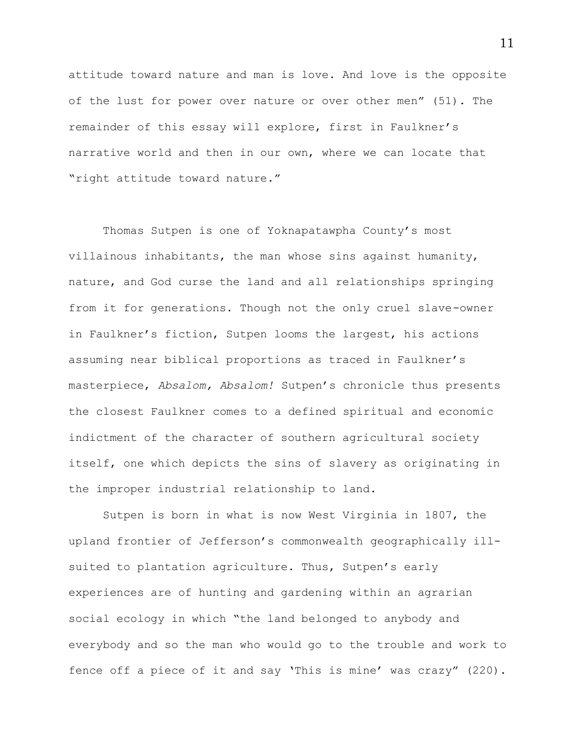attitude toward nature and man is love. And love is the opposite of the lust for power over nature or over other men" (51). The remainder of this essay will explore, first in Faulkner's narrative world and then in our own, where we can locate that "right attitude toward nature."

Thomas Sutpen is one of Yoknapatawpha County's most villainous inhabitants, the man whose sins against humanity, nature, and God curse the land and all relationships springing from it for generations. Though not the only cruel slave-owner in Faulkner's fiction, Sutpen looms the largest, his actions assuming near biblical proportions as traced in Faulkner's masterpiece, *Absalom, Absalom!* Sutpen's chronicle thus presents the closest Faulkner comes to a defined spiritual and economic indictment of the character of southern agricultural society itself, one which depicts the sins of slavery as originating in the improper industrial relationship to land.

Sutpen is born in what is now West Virginia in 1807, the upland frontier of Jefferson's commonwealth geographically illsuited to plantation agriculture. Thus, Sutpen's early experiences are of hunting and gardening within an agrarian social ecology in which "the land belonged to anybody and everybody and so the man who would go to the trouble and work to fence off a piece of it and say 'This is mine' was crazy" (220).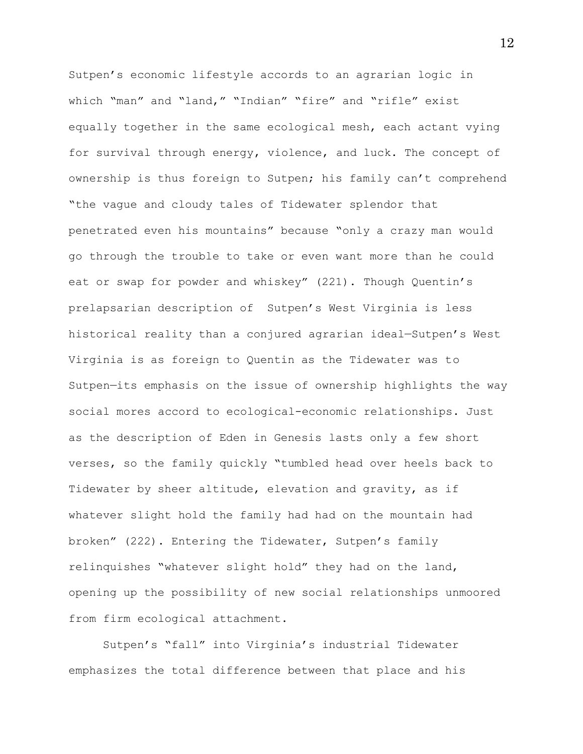Sutpen's economic lifestyle accords to an agrarian logic in which "man" and "land," "Indian" "fire" and "rifle" exist equally together in the same ecological mesh, each actant vying for survival through energy, violence, and luck. The concept of ownership is thus foreign to Sutpen; his family can't comprehend "the vague and cloudy tales of Tidewater splendor that penetrated even his mountains" because "only a crazy man would go through the trouble to take or even want more than he could eat or swap for powder and whiskey" (221). Though Quentin's prelapsarian description of Sutpen's West Virginia is less historical reality than a conjured agrarian ideal—Sutpen's West Virginia is as foreign to Quentin as the Tidewater was to Sutpen—its emphasis on the issue of ownership highlights the way social mores accord to ecological-economic relationships. Just as the description of Eden in Genesis lasts only a few short verses, so the family quickly "tumbled head over heels back to Tidewater by sheer altitude, elevation and gravity, as if whatever slight hold the family had had on the mountain had broken" (222). Entering the Tidewater, Sutpen's family relinquishes "whatever slight hold" they had on the land, opening up the possibility of new social relationships unmoored from firm ecological attachment.

Sutpen's "fall" into Virginia's industrial Tidewater emphasizes the total difference between that place and his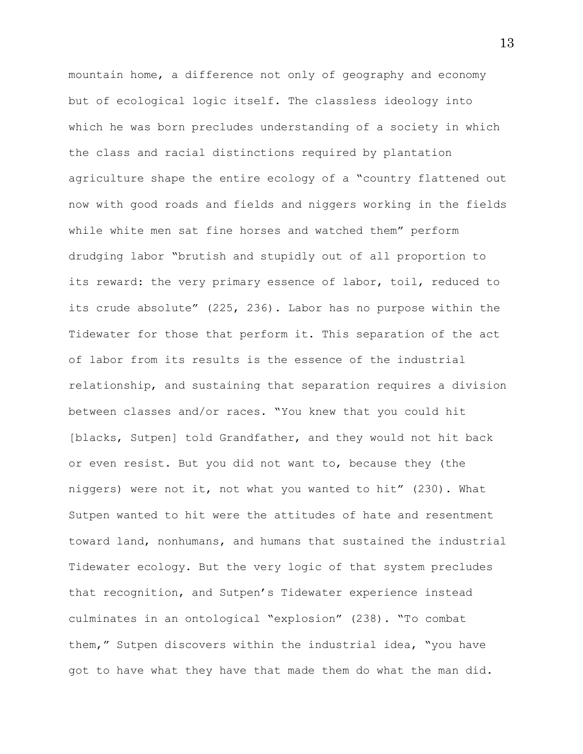mountain home, a difference not only of geography and economy but of ecological logic itself. The classless ideology into which he was born precludes understanding of a society in which the class and racial distinctions required by plantation agriculture shape the entire ecology of a "country flattened out now with good roads and fields and niggers working in the fields while white men sat fine horses and watched them" perform drudging labor "brutish and stupidly out of all proportion to its reward: the very primary essence of labor, toil, reduced to its crude absolute" (225, 236). Labor has no purpose within the Tidewater for those that perform it. This separation of the act of labor from its results is the essence of the industrial relationship, and sustaining that separation requires a division between classes and/or races. "You knew that you could hit [blacks, Sutpen] told Grandfather, and they would not hit back or even resist. But you did not want to, because they (the niggers) were not it, not what you wanted to hit" (230). What Sutpen wanted to hit were the attitudes of hate and resentment toward land, nonhumans, and humans that sustained the industrial Tidewater ecology. But the very logic of that system precludes that recognition, and Sutpen's Tidewater experience instead culminates in an ontological "explosion" (238). "To combat them," Sutpen discovers within the industrial idea, "you have got to have what they have that made them do what the man did.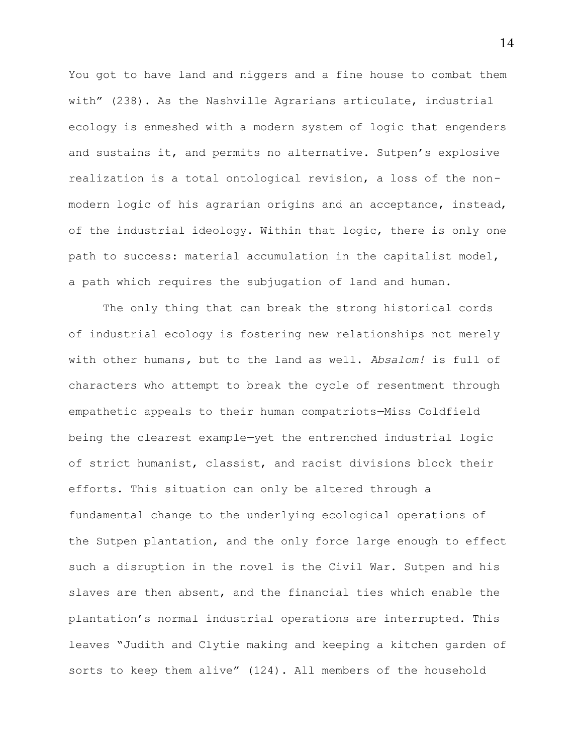You got to have land and niggers and a fine house to combat them with" (238). As the Nashville Agrarians articulate, industrial ecology is enmeshed with a modern system of logic that engenders and sustains it, and permits no alternative. Sutpen's explosive realization is a total ontological revision, a loss of the nonmodern logic of his agrarian origins and an acceptance, instead, of the industrial ideology. Within that logic, there is only one path to success: material accumulation in the capitalist model, a path which requires the subjugation of land and human.

The only thing that can break the strong historical cords of industrial ecology is fostering new relationships not merely with other humans*,* but to the land as well. *Absalom!* is full of characters who attempt to break the cycle of resentment through empathetic appeals to their human compatriots—Miss Coldfield being the clearest example—yet the entrenched industrial logic of strict humanist, classist, and racist divisions block their efforts. This situation can only be altered through a fundamental change to the underlying ecological operations of the Sutpen plantation, and the only force large enough to effect such a disruption in the novel is the Civil War. Sutpen and his slaves are then absent, and the financial ties which enable the plantation's normal industrial operations are interrupted. This leaves "Judith and Clytie making and keeping a kitchen garden of sorts to keep them alive" (124). All members of the household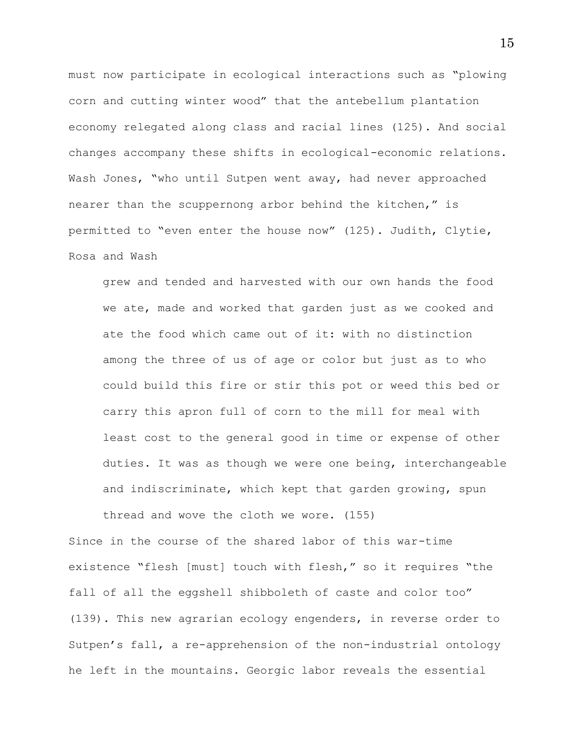must now participate in ecological interactions such as "plowing corn and cutting winter wood" that the antebellum plantation economy relegated along class and racial lines (125). And social changes accompany these shifts in ecological-economic relations. Wash Jones, "who until Sutpen went away, had never approached nearer than the scuppernong arbor behind the kitchen," is permitted to "even enter the house now" (125). Judith, Clytie, Rosa and Wash

grew and tended and harvested with our own hands the food we ate, made and worked that garden just as we cooked and ate the food which came out of it: with no distinction among the three of us of age or color but just as to who could build this fire or stir this pot or weed this bed or carry this apron full of corn to the mill for meal with least cost to the general good in time or expense of other duties. It was as though we were one being, interchangeable and indiscriminate, which kept that garden growing, spun thread and wove the cloth we wore. (155)

Since in the course of the shared labor of this war-time existence "flesh [must] touch with flesh," so it requires "the fall of all the eggshell shibboleth of caste and color too" (139). This new agrarian ecology engenders, in reverse order to Sutpen's fall, a re-apprehension of the non-industrial ontology he left in the mountains. Georgic labor reveals the essential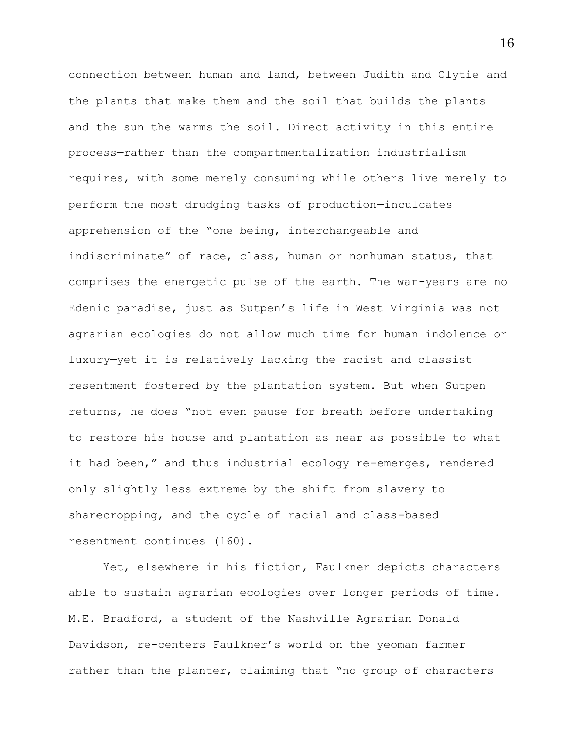connection between human and land, between Judith and Clytie and the plants that make them and the soil that builds the plants and the sun the warms the soil. Direct activity in this entire process—rather than the compartmentalization industrialism requires, with some merely consuming while others live merely to perform the most drudging tasks of production—inculcates apprehension of the "one being, interchangeable and indiscriminate" of race, class, human or nonhuman status, that comprises the energetic pulse of the earth. The war-years are no Edenic paradise, just as Sutpen's life in West Virginia was not agrarian ecologies do not allow much time for human indolence or luxury—yet it is relatively lacking the racist and classist resentment fostered by the plantation system. But when Sutpen returns, he does "not even pause for breath before undertaking to restore his house and plantation as near as possible to what it had been," and thus industrial ecology re-emerges, rendered only slightly less extreme by the shift from slavery to sharecropping, and the cycle of racial and class-based resentment continues (160).

Yet, elsewhere in his fiction, Faulkner depicts characters able to sustain agrarian ecologies over longer periods of time. M.E. Bradford, a student of the Nashville Agrarian Donald Davidson, re-centers Faulkner's world on the yeoman farmer rather than the planter, claiming that "no group of characters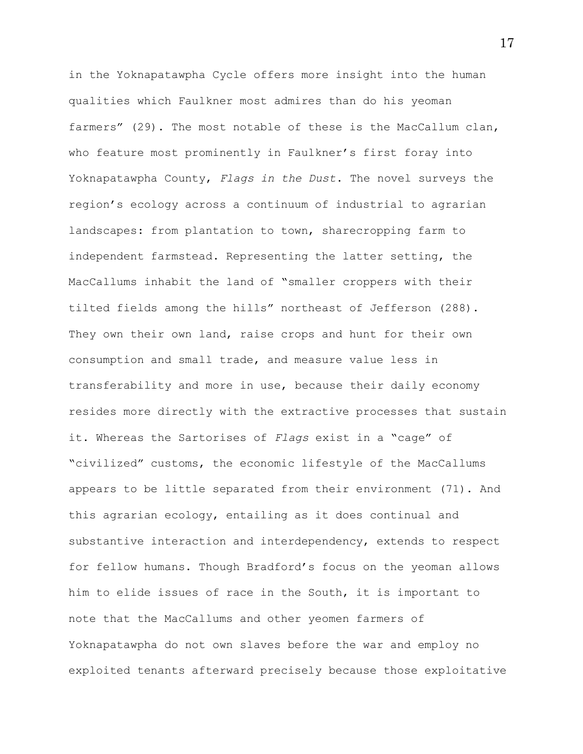in the Yoknapatawpha Cycle offers more insight into the human qualities which Faulkner most admires than do his yeoman farmers" (29). The most notable of these is the MacCallum clan, who feature most prominently in Faulkner's first foray into Yoknapatawpha County, *Flags in the Dust*. The novel surveys the region's ecology across a continuum of industrial to agrarian landscapes: from plantation to town, sharecropping farm to independent farmstead. Representing the latter setting, the MacCallums inhabit the land of "smaller croppers with their tilted fields among the hills" northeast of Jefferson (288). They own their own land, raise crops and hunt for their own consumption and small trade, and measure value less in transferability and more in use, because their daily economy resides more directly with the extractive processes that sustain it. Whereas the Sartorises of *Flags* exist in a "cage" of "civilized" customs, the economic lifestyle of the MacCallums appears to be little separated from their environment (71). And this agrarian ecology, entailing as it does continual and substantive interaction and interdependency, extends to respect for fellow humans. Though Bradford's focus on the yeoman allows him to elide issues of race in the South, it is important to note that the MacCallums and other yeomen farmers of Yoknapatawpha do not own slaves before the war and employ no exploited tenants afterward precisely because those exploitative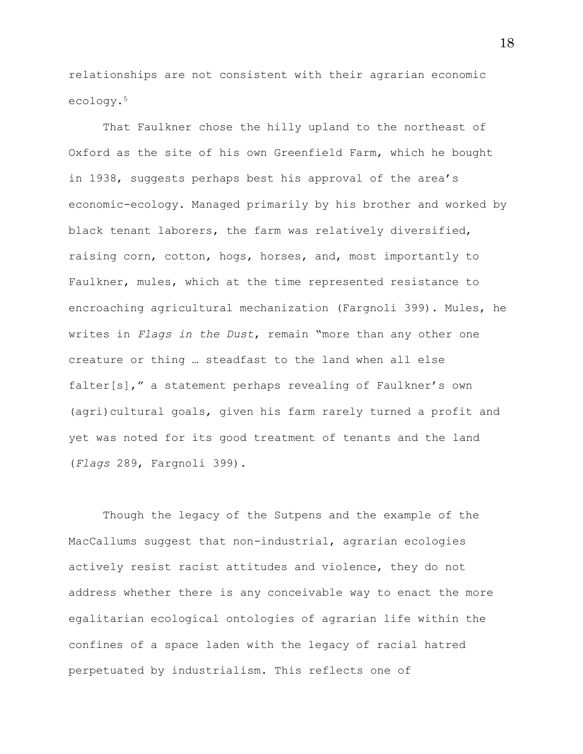relationships are not consistent with their agrarian economic ecology.<sup>5</sup>

That Faulkner chose the hilly upland to the northeast of Oxford as the site of his own Greenfield Farm, which he bought in 1938, suggests perhaps best his approval of the area's economic-ecology. Managed primarily by his brother and worked by black tenant laborers, the farm was relatively diversified, raising corn, cotton, hogs, horses, and, most importantly to Faulkner, mules, which at the time represented resistance to encroaching agricultural mechanization (Fargnoli 399). Mules, he writes in *Flags in the Dust*, remain "more than any other one creature or thing … steadfast to the land when all else falter[s]," a statement perhaps revealing of Faulkner's own (agri)cultural goals, given his farm rarely turned a profit and yet was noted for its good treatment of tenants and the land (*Flags* 289, Fargnoli 399).

Though the legacy of the Sutpens and the example of the MacCallums suggest that non-industrial, agrarian ecologies actively resist racist attitudes and violence, they do not address whether there is any conceivable way to enact the more egalitarian ecological ontologies of agrarian life within the confines of a space laden with the legacy of racial hatred perpetuated by industrialism. This reflects one of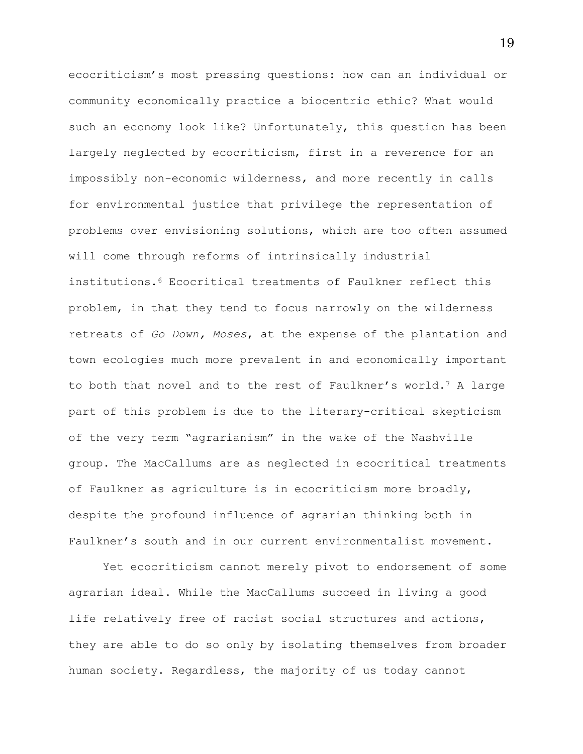ecocriticism's most pressing questions: how can an individual or community economically practice a biocentric ethic? What would such an economy look like? Unfortunately, this question has been largely neglected by ecocriticism, first in a reverence for an impossibly non-economic wilderness, and more recently in calls for environmental justice that privilege the representation of problems over envisioning solutions, which are too often assumed will come through reforms of intrinsically industrial institutions.<sup>6</sup> Ecocritical treatments of Faulkner reflect this problem, in that they tend to focus narrowly on the wilderness retreats of *Go Down, Moses*, at the expense of the plantation and town ecologies much more prevalent in and economically important to both that novel and to the rest of Faulkner's world.<sup>7</sup> A large part of this problem is due to the literary-critical skepticism of the very term "agrarianism" in the wake of the Nashville group. The MacCallums are as neglected in ecocritical treatments of Faulkner as agriculture is in ecocriticism more broadly, despite the profound influence of agrarian thinking both in Faulkner's south and in our current environmentalist movement.

Yet ecocriticism cannot merely pivot to endorsement of some agrarian ideal. While the MacCallums succeed in living a good life relatively free of racist social structures and actions, they are able to do so only by isolating themselves from broader human society. Regardless, the majority of us today cannot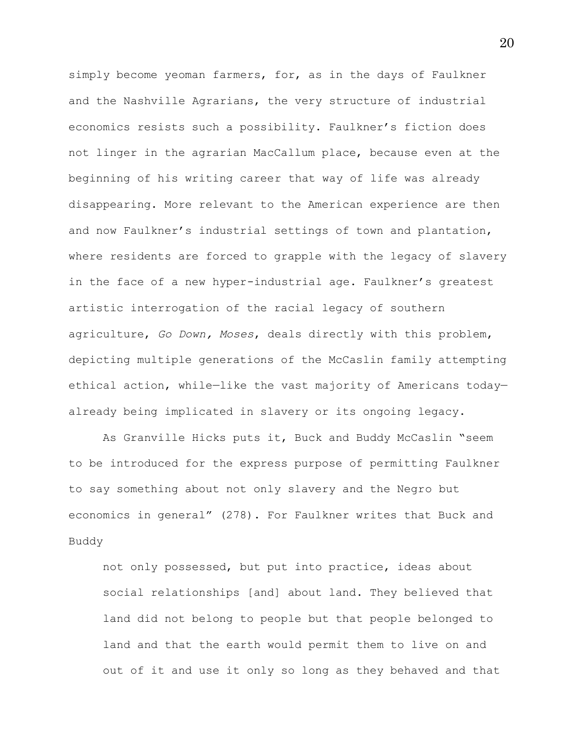simply become yeoman farmers, for, as in the days of Faulkner and the Nashville Agrarians, the very structure of industrial economics resists such a possibility. Faulkner's fiction does not linger in the agrarian MacCallum place, because even at the beginning of his writing career that way of life was already disappearing. More relevant to the American experience are then and now Faulkner's industrial settings of town and plantation, where residents are forced to grapple with the legacy of slavery in the face of a new hyper-industrial age. Faulkner's greatest artistic interrogation of the racial legacy of southern agriculture, *Go Down, Moses*, deals directly with this problem, depicting multiple generations of the McCaslin family attempting ethical action, while—like the vast majority of Americans today already being implicated in slavery or its ongoing legacy.

As Granville Hicks puts it, Buck and Buddy McCaslin "seem to be introduced for the express purpose of permitting Faulkner to say something about not only slavery and the Negro but economics in general" (278). For Faulkner writes that Buck and Buddy

not only possessed, but put into practice, ideas about social relationships [and] about land. They believed that land did not belong to people but that people belonged to land and that the earth would permit them to live on and out of it and use it only so long as they behaved and that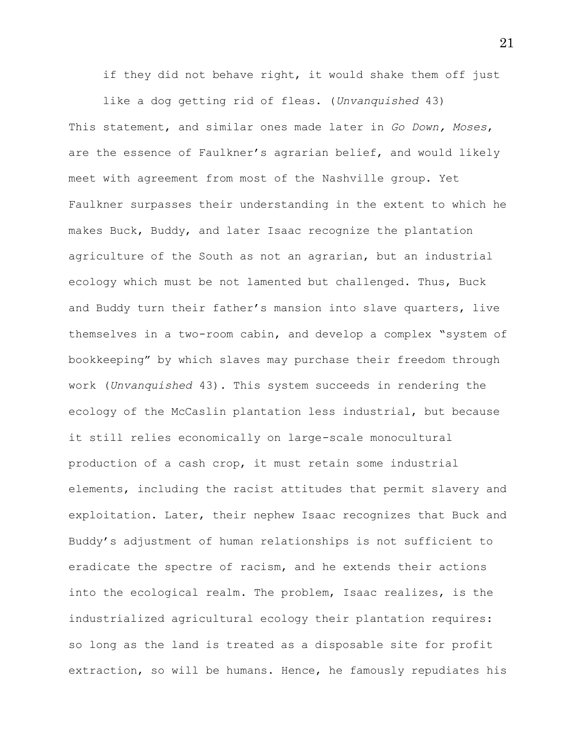if they did not behave right, it would shake them off just

like a dog getting rid of fleas. (*Unvanquished* 43) This statement, and similar ones made later in *Go Down, Moses*, are the essence of Faulkner's agrarian belief, and would likely meet with agreement from most of the Nashville group. Yet Faulkner surpasses their understanding in the extent to which he makes Buck, Buddy, and later Isaac recognize the plantation agriculture of the South as not an agrarian, but an industrial ecology which must be not lamented but challenged. Thus, Buck and Buddy turn their father's mansion into slave quarters, live themselves in a two-room cabin, and develop a complex "system of bookkeeping" by which slaves may purchase their freedom through work (*Unvanquished* 43). This system succeeds in rendering the ecology of the McCaslin plantation less industrial, but because it still relies economically on large-scale monocultural production of a cash crop, it must retain some industrial elements, including the racist attitudes that permit slavery and exploitation. Later, their nephew Isaac recognizes that Buck and Buddy's adjustment of human relationships is not sufficient to eradicate the spectre of racism, and he extends their actions into the ecological realm. The problem, Isaac realizes, is the industrialized agricultural ecology their plantation requires: so long as the land is treated as a disposable site for profit extraction, so will be humans. Hence, he famously repudiates his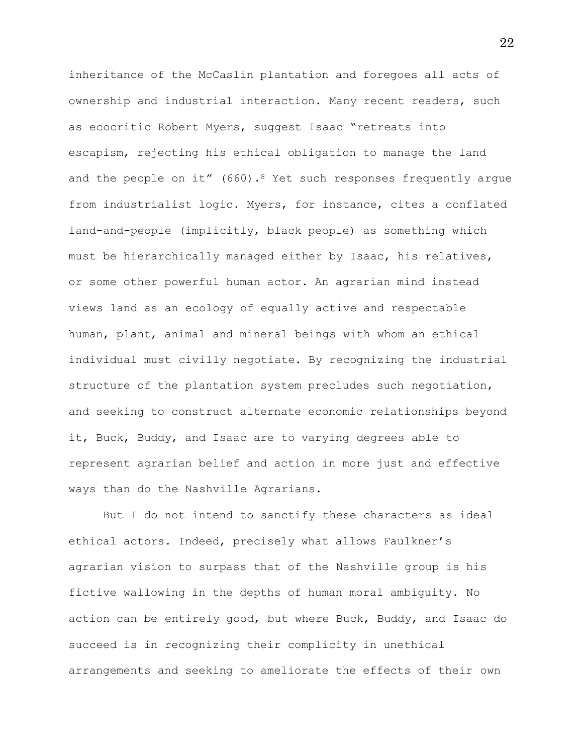inheritance of the McCaslin plantation and foregoes all acts of ownership and industrial interaction. Many recent readers, such as ecocritic Robert Myers, suggest Isaac "retreats into escapism, rejecting his ethical obligation to manage the land and the people on it"  $(660)$ .<sup>8</sup> Yet such responses frequently arque from industrialist logic. Myers, for instance, cites a conflated land-and-people (implicitly, black people) as something which must be hierarchically managed either by Isaac, his relatives, or some other powerful human actor. An agrarian mind instead views land as an ecology of equally active and respectable human, plant, animal and mineral beings with whom an ethical individual must civilly negotiate. By recognizing the industrial structure of the plantation system precludes such negotiation, and seeking to construct alternate economic relationships beyond it, Buck, Buddy, and Isaac are to varying degrees able to represent agrarian belief and action in more just and effective ways than do the Nashville Agrarians.

But I do not intend to sanctify these characters as ideal ethical actors. Indeed, precisely what allows Faulkner's agrarian vision to surpass that of the Nashville group is his fictive wallowing in the depths of human moral ambiguity. No action can be entirely good, but where Buck, Buddy, and Isaac do succeed is in recognizing their complicity in unethical arrangements and seeking to ameliorate the effects of their own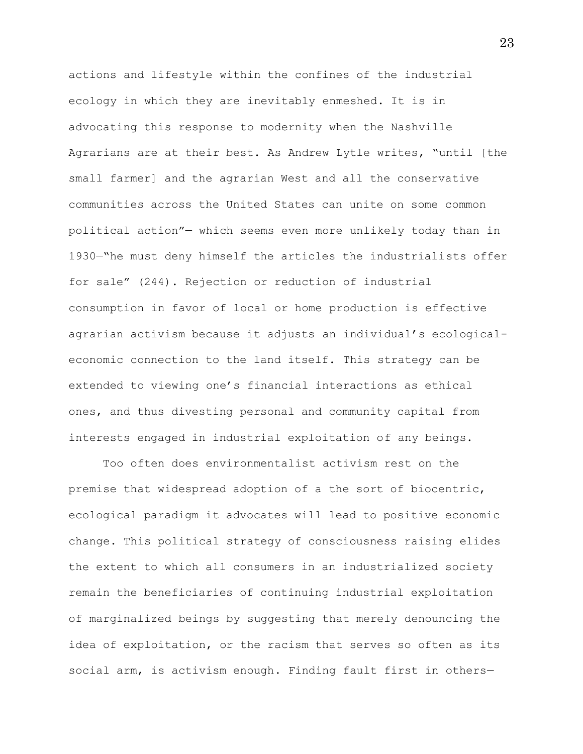actions and lifestyle within the confines of the industrial ecology in which they are inevitably enmeshed. It is in advocating this response to modernity when the Nashville Agrarians are at their best. As Andrew Lytle writes, "until [the small farmer] and the agrarian West and all the conservative communities across the United States can unite on some common political action"— which seems even more unlikely today than in 1930—"he must deny himself the articles the industrialists offer for sale" (244). Rejection or reduction of industrial consumption in favor of local or home production is effective agrarian activism because it adjusts an individual's ecologicaleconomic connection to the land itself. This strategy can be extended to viewing one's financial interactions as ethical ones, and thus divesting personal and community capital from interests engaged in industrial exploitation of any beings.

Too often does environmentalist activism rest on the premise that widespread adoption of a the sort of biocentric, ecological paradigm it advocates will lead to positive economic change. This political strategy of consciousness raising elides the extent to which all consumers in an industrialized society remain the beneficiaries of continuing industrial exploitation of marginalized beings by suggesting that merely denouncing the idea of exploitation, or the racism that serves so often as its social arm, is activism enough. Finding fault first in others—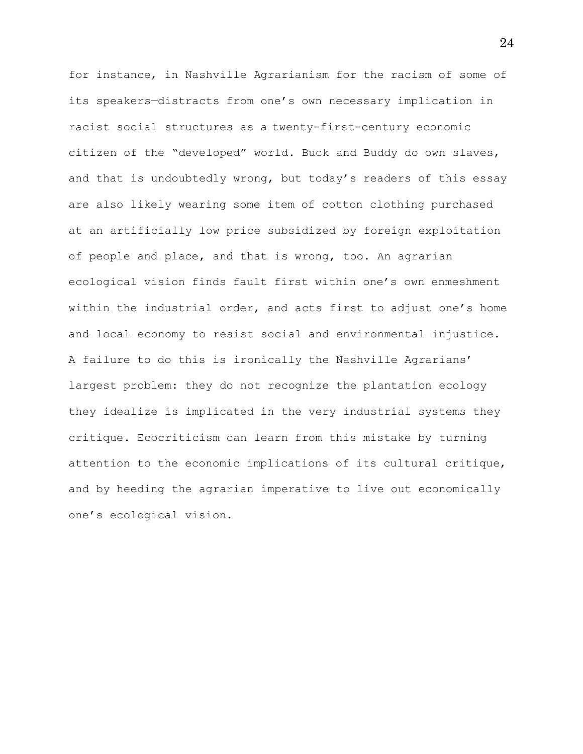for instance, in Nashville Agrarianism for the racism of some of its speakers—distracts from one's own necessary implication in racist social structures as a twenty-first-century economic citizen of the "developed" world. Buck and Buddy do own slaves, and that is undoubtedly wrong, but today's readers of this essay are also likely wearing some item of cotton clothing purchased at an artificially low price subsidized by foreign exploitation of people and place, and that is wrong, too. An agrarian ecological vision finds fault first within one's own enmeshment within the industrial order, and acts first to adjust one's home and local economy to resist social and environmental injustice. A failure to do this is ironically the Nashville Agrarians' largest problem: they do not recognize the plantation ecology they idealize is implicated in the very industrial systems they critique. Ecocriticism can learn from this mistake by turning attention to the economic implications of its cultural critique, and by heeding the agrarian imperative to live out economically one's ecological vision.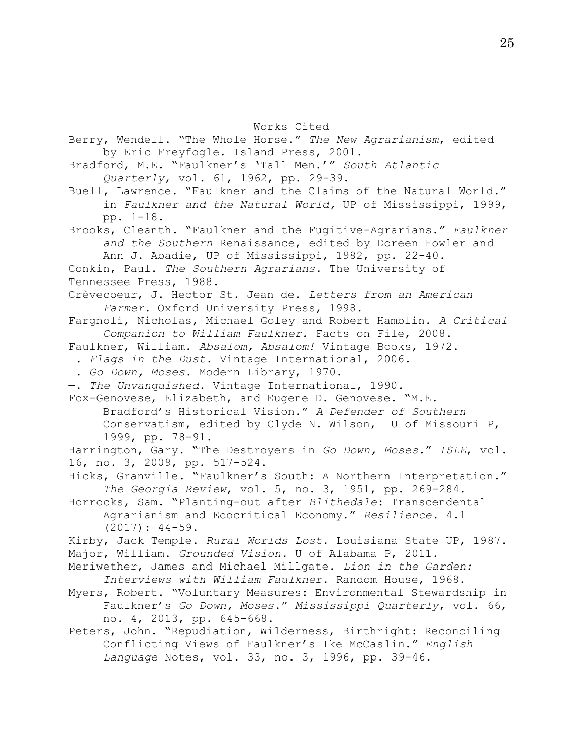Works Cited

Berry, Wendell. "The Whole Horse." *The New Agrarianism*, edited by Eric Freyfogle. Island Press, 2001. Bradford, M.E. "Faulkner's 'Tall Men.'" *South Atlantic Quarterly*, vol. 61, 1962, pp. 29-39. Buell, Lawrence. "Faulkner and the Claims of the Natural World." in *Faulkner and the Natural World,* UP of Mississippi, 1999, pp. 1-18. Brooks, Cleanth. "Faulkner and the Fugitive-Agrarians." *Faulkner and the Southern* Renaissance, edited by Doreen Fowler and Ann J. Abadie, UP of Mississippi, 1982, pp. 22-40. Conkin, Paul. *The Southern Agrarians.* The University of Tennessee Press, 1988. Crèvecoeur, J. Hector St. Jean de. *Letters from an American Farmer*. Oxford University Press, 1998. Fargnoli, Nicholas, Michael Goley and Robert Hamblin. *A Critical Companion to William Faulkner.* Facts on File, 2008. Faulkner, William. *Absalom, Absalom!* Vintage Books, 1972. —. *Flags in the Dust.* Vintage International, 2006. —. *Go Down, Moses*. Modern Library, 1970. —. *The Unvanquished.* Vintage International, 1990. Fox-Genovese, Elizabeth, and Eugene D. Genovese. "M.E. Bradford's Historical Vision." *A Defender of Southern*  Conservatism, edited by Clyde N. Wilson, U of Missouri P, 1999, pp. 78-91. Harrington, Gary. "The Destroyers in *Go Down, Moses.*" *ISLE*, vol. 16, no. 3, 2009, pp. 517-524. Hicks, Granville. "Faulkner's South: A Northern Interpretation." *The Georgia Review*, vol. 5, no. 3, 1951, pp. 269-284. Horrocks, Sam. "Planting-out after *Blithedale*: Transcendental Agrarianism and Ecocritical Economy." *Resilience.* 4.1 (2017): 44-59. Kirby, Jack Temple. *Rural Worlds Lost.* Louisiana State UP, 1987. Major, William. *Grounded Vision.* U of Alabama P, 2011. Meriwether, James and Michael Millgate. *Lion in the Garden: Interviews with William Faulkner.* Random House, 1968. Myers, Robert. "Voluntary Measures: Environmental Stewardship in Faulkner's *Go Down, Moses*." *Mississippi Quarterly*, vol. 66, no. 4, 2013, pp. 645-668. Peters, John. "Repudiation, Wilderness, Birthright: Reconciling Conflicting Views of Faulkner's Ike McCaslin." *English Language* Notes, vol. 33, no. 3, 1996, pp. 39-46.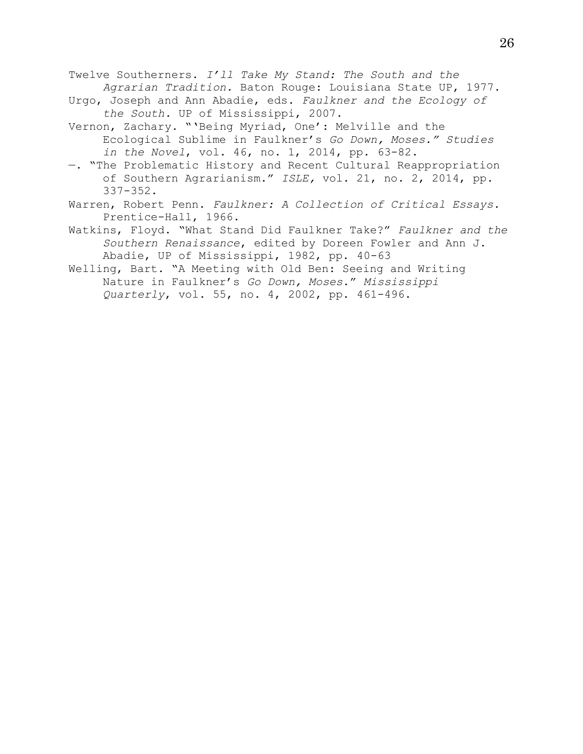Twelve Southerners. *I'll Take My Stand: The South and the Agrarian Tradition*. Baton Rouge: Louisiana State UP, 1977.

- Urgo, Joseph and Ann Abadie, eds. *Faulkner and the Ecology of the South.* UP of Mississippi, 2007.
- Vernon, Zachary. "'Being Myriad, One': Melville and the Ecological Sublime in Faulkner's *Go Down, Moses." Studies in the Novel*, vol. 46, no. 1, 2014, pp. 63-82.
- —. "The Problematic History and Recent Cultural Reappropriation of Southern Agrarianism." *ISLE,* vol. 21, no. 2, 2014, pp. 337-352.
- Warren, Robert Penn. *Faulkner: A Collection of Critical Essays.*  Prentice-Hall, 1966.
- Watkins, Floyd. "What Stand Did Faulkner Take?" *Faulkner and the Southern Renaissance*, edited by Doreen Fowler and Ann J. Abadie, UP of Mississippi, 1982, pp. 40-63
- Welling, Bart. "A Meeting with Old Ben: Seeing and Writing Nature in Faulkner's *Go Down, Moses.*" *Mississippi Quarterly*, vol. 55, no. 4, 2002, pp. 461-496.